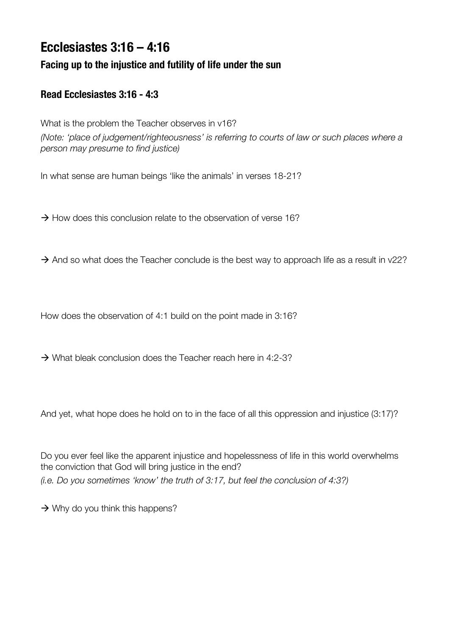# **Ecclesiastes 3:16 – 4:16**

## **Facing up to the injustice and futility of life under the sun**

### **Read Ecclesiastes 3:16 - 4:3**

What is the problem the Teacher observes in v16? *(Note: 'place of judgement/righteousness' is referring to courts of law or such places where a person may presume to find justice)*

In what sense are human beings 'like the animals' in verses 18-21?

 $\rightarrow$  How does this conclusion relate to the observation of verse 16?

 $\rightarrow$  And so what does the Teacher conclude is the best way to approach life as a result in v22?

How does the observation of 4:1 build on the point made in 3:16?

 $\rightarrow$  What bleak conclusion does the Teacher reach here in 4:2-3?

And yet, what hope does he hold on to in the face of all this oppression and injustice (3:17)?

Do you ever feel like the apparent injustice and hopelessness of life in this world overwhelms the conviction that God will bring justice in the end? *(i.e. Do you sometimes 'know' the truth of 3:17, but feel the conclusion of 4:3?)* 

 $\rightarrow$  Why do you think this happens?